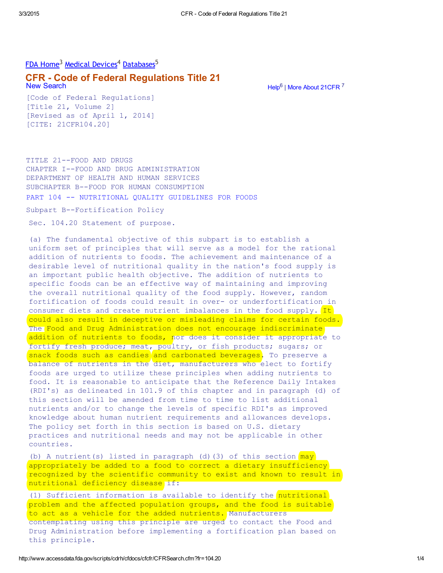FDA [Home](http://www.fda.gov/default.htm) <sup>3</sup> Medical [Devices](http://www.fda.gov/MedicalDevices/default.htm) <sup>4</sup> [Databases](http://www.fda.gov/MedicalDevices/DeviceRegulationandGuidance/Databases/default.htm) 5

### **New [Search](http://www.accessdata.fda.gov/scripts/cdrh/cfdocs/cfcfr/CFRSearch.cfm) CFR - Code of Federal Regulations Title 21**

<sup>6</sup> | More About 21 CFR<sup>7</sup>

[Code of Federal Regulations] [Title 21, Volume 2] [Revised as of April 1, 2014] [CITE: 21CFR104.20]

TITLE 21--FOOD AND DRUGS CHAPTER I--FOOD AND DRUG ADMINISTRATION DEPARTMENT OF HEALTH AND HUMAN SERVICES SUBCHAPTER B--FOOD FOR HUMAN CONSUMPTION PART 104 -- [NUTRITIONAL](http://www.accessdata.fda.gov/scripts/cdrh/cfdocs/cfcfr/CFRSearch.cfm?CFRPart=104) QUALITY GUIDELINES FOR FOODS

Subpart B--Fortification Policy

Sec. 104.20 Statement of purpose.

(a) The fundamental objective of this subpart is to establish a uniform set of principles that will serve as a model for the rational addition of nutrients to foods. The achievement and maintenance of a desirable level of nutritional quality in the nation's food supply is an important public health objective. The addition of nutrients to specific foods can be an effective way of maintaining and improving the overall nutritional quality of the food supply. However, random fortification of foods could result in over or underfortification in consumer diets and create nutrient imbalances in the food supply.  $[It]$ could also result in deceptive or misleading claims for certain foods. The Food and Drug Administration does not encourage indiscriminate addition of nutrients to foods, nor does it consider it appropriate to fortify fresh produce; meat, poultry, or fish products; sugars; or snack foods such as candies and carbonated beverages. To preserve a balance of nutrients in the diet, manufacturers who elect to fortify foods are urged to utilize these principles when adding nutrients to food. It is reasonable to anticipate that the Reference Daily Intakes (RDI's) as delineated in 101.9 of this chapter and in paragraph (d) of this section will be amended from time to time to list additional nutrients and/or to change the levels of specific RDI's as improved knowledge about human nutrient requirements and allowances develops. The policy set forth in this section is based on U.S. dietary practices and nutritional needs and may not be applicable in other countries.

(b) A nutrient(s) listed in paragraph (d)(3) of this section  $\sqrt{may}$ appropriately be added to a food to correct a dietary insufficiency recognized by the scientific community to exist and known to result in nutritional deficiency disease if:

(1) Sufficient information is available to identify the  $natural$ problem and the affected population groups, and the food is suitable to act as a vehicle for the added nutrients. Manufacturers contemplating using this principle are urged to contact the Food and Drug Administration before implementing a fortification plan based on this principle.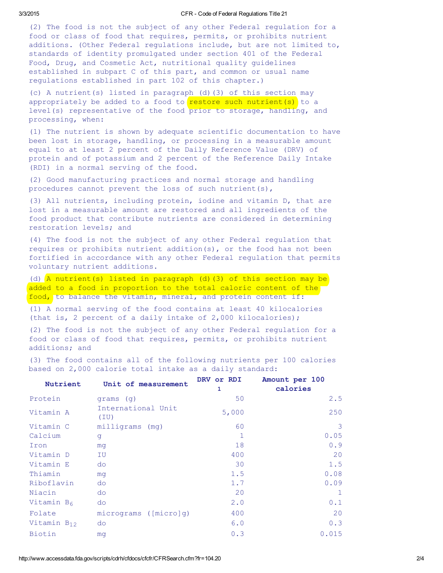(2) The food is not the subject of any other Federal regulation for a food or class of food that requires, permits, or prohibits nutrient additions. (Other Federal regulations include, but are not limited to, standards of identity promulgated under section 401 of the Federal Food, Drug, and Cosmetic Act, nutritional quality guidelines established in subpart C of this part, and common or usual name regulations established in part 102 of this chapter.)

(c) A nutrient(s) listed in paragraph (d)(3) of this section may appropriately be added to a food to restore such nutrient(s) to a level(s) representative of the food prior to storage, handling, and processing, when:

(1) The nutrient is shown by adequate scientific documentation to have been lost in storage, handling, or processing in a measurable amount equal to at least 2 percent of the Daily Reference Value (DRV) of protein and of potassium and 2 percent of the Reference Daily Intake (RDI) in a normal serving of the food.

(2) Good manufacturing practices and normal storage and handling procedures cannot prevent the loss of such nutrient(s),

(3) All nutrients, including protein, iodine and vitamin D, that are lost in a measurable amount are restored and all ingredients of the food product that contribute nutrients are considered in determining restoration levels; and

(4) The food is not the subject of any other Federal regulation that requires or prohibits nutrient addition(s), or the food has not been fortified in accordance with any other Federal regulation that permits voluntary nutrient additions.

(d)  $\overline{A}$  nutrient(s) listed in paragraph (d)(3) of this section may be added to a food in proportion to the total caloric content of the food, to balance the vitamin, mineral, and protein content if:

(1) A normal serving of the food contains at least 40 kilocalories (that is, 2 percent of a daily intake of 2,000 kilocalories);

(2) The food is not the subject of any other Federal regulation for a food or class of food that requires, permits, or prohibits nutrient additions; and

(3) The food contains all of the following nutrients per 100 calories based on 2,000 calorie total intake as a daily standard:

| Nutrient         | Unit of measurement        | DRV or RDI<br>1 | Amount per 100<br>calories |
|------------------|----------------------------|-----------------|----------------------------|
| Protein          | $q$ rams $(q)$             | 50              | 2.5                        |
| Vitamin A        | International Unit<br>(TU) | 5,000           | 250                        |
| Vitamin C        | milligrams (mg)            | 60              | 3                          |
| Calcium          | g                          | 1               | 0.05                       |
| Iron             | mq                         | 18              | 0.9                        |
| Vitamin D        | ΙU                         | 400             | 20                         |
| Vitamin E        | do                         | 30              | 1.5                        |
| Thiamin          | mq                         | 1.5             | 0.08                       |
| Riboflavin       | do                         | 1.7             | 0.09                       |
| Niacin           | do                         | 20              | $\mathbf{1}$               |
| Vitamin $B_6$    | do                         | 2.0             | 0.1                        |
| Folate           | micrograms ([micro]g)      | 400             | 20                         |
| Vitamin $B_{12}$ | do                         | 6.0             | 0.3                        |
| Biotin           | mq                         | 0.3             | 0.015                      |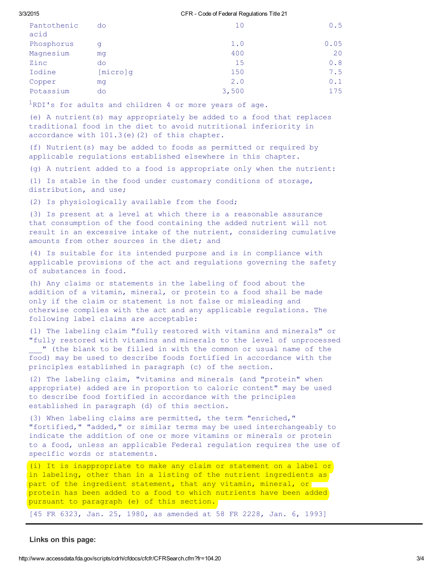#### 3/3/2015 CFR Code of Federal Regulations Title 21

| Pantothenic | do       | 10    | 0.5  |
|-------------|----------|-------|------|
| acid        |          |       |      |
| Phosphorus  | a        | 1.0   | 0.05 |
| Magnesium   | mq       | 400   | 20   |
| Zinc        | do       | 15    | 0.8  |
| Iodine      | [micro]q | 150   | 7.5  |
| Copper      | mq       | 2.0   | 0.1  |
| Potassium   | do       | 3,500 | 175  |

 ${}^{1}$ RDI's for adults and children 4 or more years of age.

(e) A nutrient(s) may appropriately be added to a food that replaces traditional food in the diet to avoid nutritional inferiority in accordance with 101.3(e)(2) of this chapter.

(f) Nutrient(s) may be added to foods as permitted or required by applicable regulations established elsewhere in this chapter.

(g) A nutrient added to a food is appropriate only when the nutrient:

(1) Is stable in the food under customary conditions of storage, distribution, and use;

(2) Is physiologically available from the food;

(3) Is present at a level at which there is a reasonable assurance that consumption of the food containing the added nutrient will not result in an excessive intake of the nutrient, considering cumulative amounts from other sources in the diet; and

(4) Is suitable for its intended purpose and is in compliance with applicable provisions of the act and regulations governing the safety of substances in food.

(h) Any claims or statements in the labeling of food about the addition of a vitamin, mineral, or protein to a food shall be made only if the claim or statement is not false or misleading and otherwise complies with the act and any applicable regulations. The following label claims are acceptable:

(1) The labeling claim "fully restored with vitamins and minerals" or "fully restored with vitamins and minerals to the level of unprocessed

\_\_\_" (the blank to be filled in with the common or usual name of the food) may be used to describe foods fortified in accordance with the principles established in paragraph (c) of the section.

(2) The labeling claim, "vitamins and minerals (and "protein" when appropriate) added are in proportion to caloric content" may be used to describe food fortified in accordance with the principles established in paragraph (d) of this section.

(3) When labeling claims are permitted, the term "enriched," "fortified," "added," or similar terms may be used interchangeably to indicate the addition of one or more vitamins or minerals or protein to a food, unless an applicable Federal regulation requires the use of specific words or statements.

(i) It is inappropriate to make any claim or statement on a label or in labeling, other than in a listing of the nutrient ingredients as part of the ingredient statement, that any vitamin, mineral, or protein has been added to a food to which nutrients have been added pursuant to paragraph (e) of this section. [45 FR 6323, Jan. 25, 1980, as amended at 58 FR 2228, Jan. 6, 1993]

Links on this page: